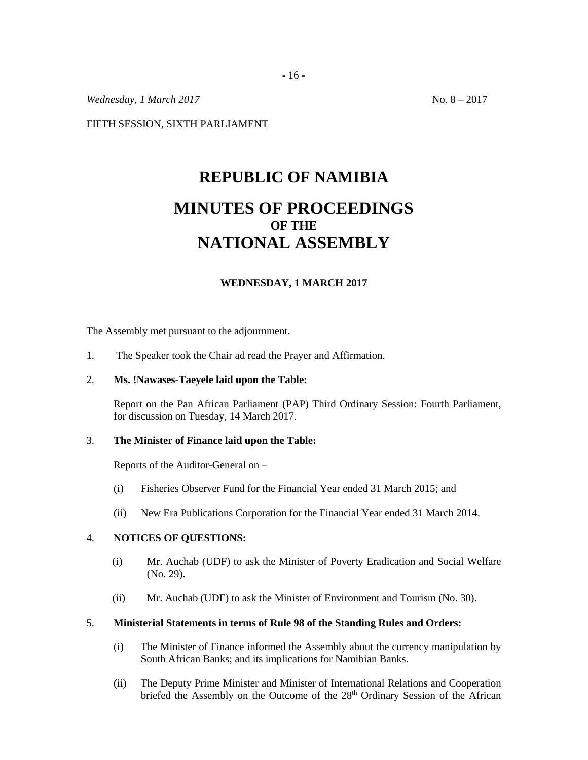*Wednesday, 1 March 2017* No. 8 – 2017

FIFTH SESSION, SIXTH PARLIAMENT

# **REPUBLIC OF NAMIBIA MINUTES OF PROCEEDINGS OF THE NATIONAL ASSEMBLY**

## **WEDNESDAY, 1 MARCH 2017**

The Assembly met pursuant to the adjournment.

1. The Speaker took the Chair ad read the Prayer and Affirmation.

#### 2. **Ms. !Nawases-Taeyele laid upon the Table:**

Report on the Pan African Parliament (PAP) Third Ordinary Session: Fourth Parliament, for discussion on Tuesday, 14 March 2017.

#### 3. **The Minister of Finance laid upon the Table:**

Reports of the Auditor-General on –

- (i) Fisheries Observer Fund for the Financial Year ended 31 March 2015; and
- (ii) New Era Publications Corporation for the Financial Year ended 31 March 2014.

## 4. **NOTICES OF QUESTIONS:**

- (i) Mr. Auchab (UDF) to ask the Minister of Poverty Eradication and Social Welfare (No. 29).
- (ii) Mr. Auchab (UDF) to ask the Minister of Environment and Tourism (No. 30).

## 5. **Ministerial Statements in terms of Rule 98 of the Standing Rules and Orders:**

- (i) The Minister of Finance informed the Assembly about the currency manipulation by South African Banks; and its implications for Namibian Banks.
- (ii) The Deputy Prime Minister and Minister of International Relations and Cooperation briefed the Assembly on the Outcome of the 28<sup>th</sup> Ordinary Session of the African